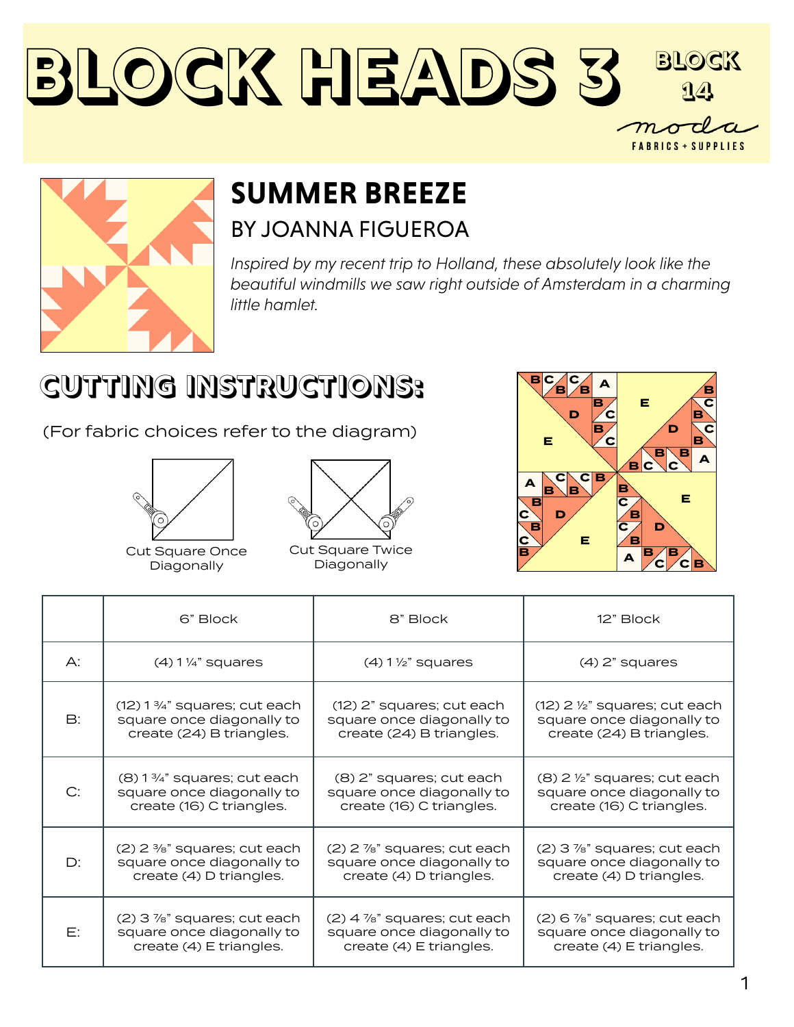



## **SUMMER BREEZE** BY JOANNA FIGUEROA

*Inspired by my recent trip to Holland, these absolutely look like the beautiful windmills we saw right outside of Amsterdam in a charming little hamlet.*

## **CUTTING INSTRUCTIONS:**

(For fabric choices refer to the diagram)





Cut Square Once Diagonally

Cut Square Twice Diagonally



|               | 6" Block                                   | 8" Block                         | 12" Block                                  |
|---------------|--------------------------------------------|----------------------------------|--------------------------------------------|
| А:            | $(4)$ 1 $\frac{1}{4}$ " squares            | $(4)$ 1 $\frac{1}{2}$ " squares  | $(4)$ 2" squares                           |
| $\mathsf{B}:$ | $(12)$ 1 $\frac{3}{4}$ " squares; cut each | (12) 2" squares; cut each        | $(12)$ 2 $\frac{1}{2}$ " squares; cut each |
|               | square once diagonally to                  | square once diagonally to        | square once diagonally to                  |
|               | create (24) B triangles.                   | create (24) B triangles.         | create (24) B triangles.                   |
| C:            | $(8)$ 1 $\frac{3}{4}$ " squares; cut each  | (8) 2" squares; cut each         | $(8)$ 2 $\frac{1}{2}$ " squares; cut each  |
|               | square once diagonally to                  | square once diagonally to        | square once diagonally to                  |
|               | create (16) C triangles.                   | create (16) C triangles.         | create (16) C triangles.                   |
| D:            | $(2)$ 2 $\frac{3}{8}$ " squares; cut each  | (2) 2 %" squares; cut each       | $(2)$ 3 $\frac{7}{8}$ " squares; cut each  |
|               | square once diagonally to                  | square once diagonally to        | square once diagonally to                  |
|               | create (4) D triangles.                    | create (4) D triangles.          | create (4) D triangles.                    |
| E:            | (2) 3 %" squares; cut each                 | $(2)$ 4 $\%$ " squares; cut each | $(2)$ 6 $\frac{7}{8}$ " squares; cut each  |
|               | square once diagonally to                  | square once diagonally to        | square once diagonally to                  |
|               | create (4) E triangles.                    | create (4) E triangles.          | create (4) E triangles.                    |